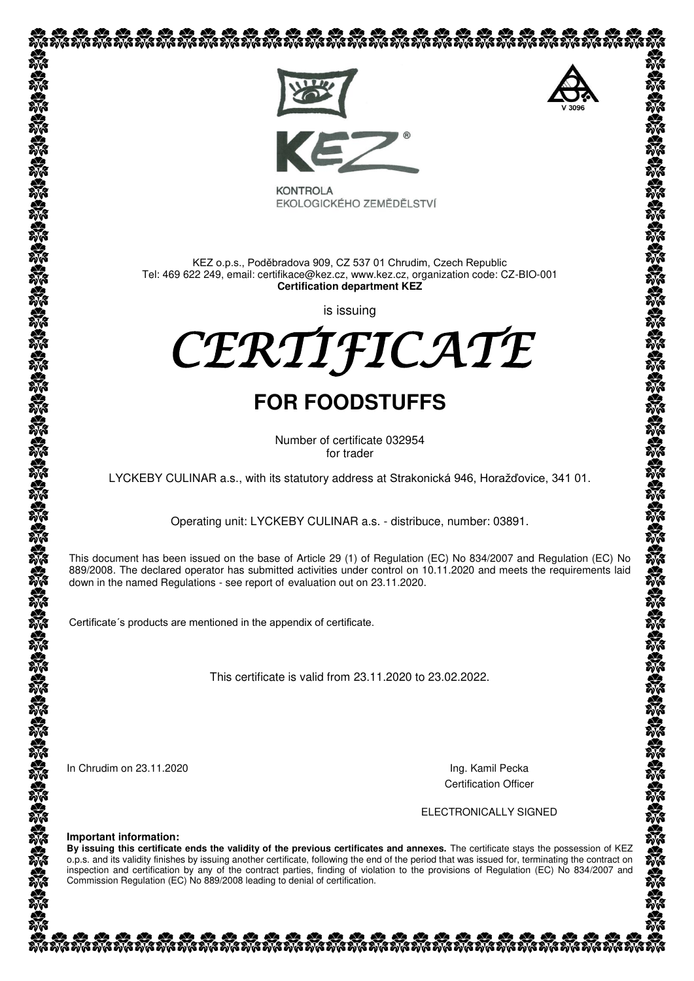

EKOLOGICKÉHO ZEMĚDĚLSTVÍ

KEZ o.p.s., Poděbradova 909, CZ 537 01 Chrudim, Czech Republic Tel: 469 622 249, email: certifikace@kez.cz, www.kez.cz, organization code: CZ-BIO-001 **Certification department KEZ**

is issuing

CERTIFICATE

## **FOR FOODSTUFFS**

Number of certificate 032954 for trader

LYCKEBY CULINAR a.s., with its statutory address at Strakonická 946, Horažďovice, 341 01.

Operating unit: LYCKEBY CULINAR a.s. - distribuce, number: 03891.

This document has been issued on the base of Article 29 (1) of Regulation (EC) No 834/2007 and Regulation (EC) No 889/2008. The declared operator has submitted activities under control on 10.11.2020 and meets the requirements laid down in the named Regulations - see [report of](http://slovnik.seznam.cz/search.py?lg=en_cz&wd=reports%20of) evaluation out on 23.11.2020.

Certificate´s products are mentioned in the appendix of certificate.

This certificate is valid from 23.11.2020 to 23.02.2022.

In Chrudim on 23.11.2020 **Ing. Kamil Pecka** 

Certification Officer

ELECTRONICALLY SIGNED

**Important information:**

**By issuing this certificate ends the validity of the previous certificates and annexes.** The certificate stays the possession of KEZ o.p.s. and its validity finishes by issuing another certificate, following the end of the period that was issued for, terminating the contract on inspection and certification by any of the contract parties, finding of violation to the provisions of Regulation (EC) No 834/2007 and Commission Regulation (EC) No 889/2008 leading to denial of certification.